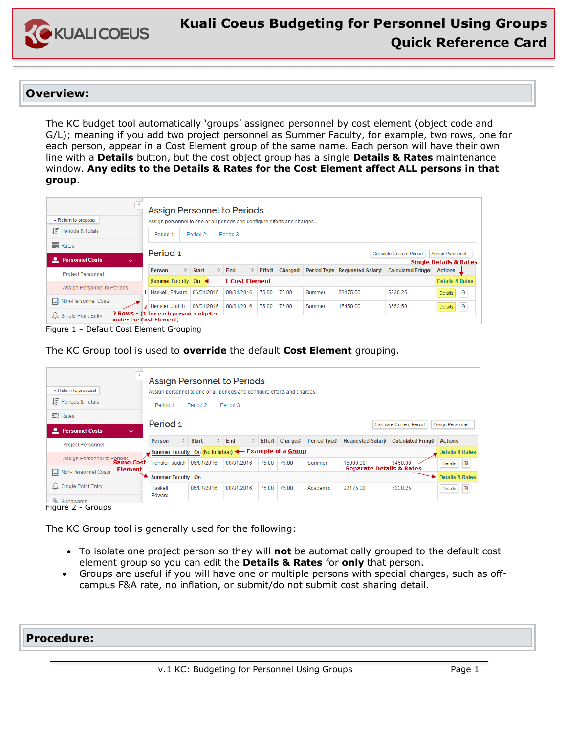

#### **Overview:**

The KC budget tool automatically 'groups' assigned personnel by cost element (object code and G/L); meaning if you add two project personnel as Summer Faculty, for example, two rows, one for each person, appear in a Cost Element group of the same name. Each person will have their own line with a **Details** button, but the cost object group has a single **Details & Rates** maintenance window. **Any edits to the Details & Rates for the Cost Element affect ALL persons in that group**.

| « Return to proposal                       |    | Assign Personnel to Periods<br>Assign personnel to one or all periods and configure efforts and charges. |                      |              |           |            |   |               |         |                  |          |                                                |                                   |
|--------------------------------------------|----|----------------------------------------------------------------------------------------------------------|----------------------|--------------|-----------|------------|---|---------------|---------|------------------|----------|------------------------------------------------|-----------------------------------|
| $IF$ Periods & Totals                      |    | Period 1                                                                                                 | Period 2<br>Period 3 |              |           |            |   |               |         |                  |          |                                                |                                   |
| Rates                                      |    | Period 1<br>Calculate Current Period                                                                     |                      |              |           |            |   |               |         | Assign Personnel |          |                                                |                                   |
| <b>Let Personnel Costs</b><br>$\checkmark$ |    |                                                                                                          |                      |              |           |            |   |               |         |                  |          |                                                | <b>Single Details &amp; Rates</b> |
| <b>Project Personnel</b>                   |    | $\hat{C}$<br>Person                                                                                      |                      | <b>Start</b> | $\hat{v}$ | End        | ≎ | <b>Effort</b> | Charged |                  |          | Period Type Requested Salary Calculated Fringe | <b>Actions</b>                    |
|                                            |    | Summer Faculty - On ↓ 1 Cost Element                                                                     |                      |              |           |            |   |               |         |                  |          |                                                | <b>Details &amp; Rates</b>        |
| <b>Assign Personnel to Periods</b>         |    | 1 Haskell, Edward                                                                                        |                      | 06/01/2016   |           | 08/31/2016 |   | 75.00         | 75.00   | Summer           | 23175.00 | 5330.25                                        | 自<br>Details                      |
| <b>E</b> Non-Personnel Costs               | 2. | Hensler, Judith                                                                                          |                      | 06/01/2016   |           | 08/31/2016 |   | 75.00         | 75.00   | Summer           | 15450.00 | 3553.50                                        | 自<br><b>Details</b>               |
| $\Delta$ Single Point Entry                |    | 2 Rows - (1 for each person budgeted<br>under the Cost Element)                                          |                      |              |           |            |   |               |         |                  |          |                                                |                                   |

Figure 1 – Default Cost Element Grouping

The KC Group tool is used to **override** the default **Cost Element** grouping.

| « Return to proposal<br>$I\bar{F}$ Periods & Totals                                        | Assign Personnel to Periods<br>Assign personnel to one or all periods and configure efforts and charges. |                 |                       |       |                           |             |                                                 |                                    |                                                   |  |
|--------------------------------------------------------------------------------------------|----------------------------------------------------------------------------------------------------------|-----------------|-----------------------|-------|---------------------------|-------------|-------------------------------------------------|------------------------------------|---------------------------------------------------|--|
| <b>言</b> Rates<br><b>L</b> Personnel Costs<br>$\checkmark$                                 | Period 2<br>Period 1<br>Period 3<br>Period 1<br><b>Calculate Current Period</b>                          |                 |                       |       |                           |             |                                                 |                                    | Assign Personnel                                  |  |
| <b>Project Personnel</b>                                                                   | Person<br>Summer Faculty - On (No Inflation) < Example of a Group                                        | $\hat{z}$ Start | $\Leftrightarrow$ End |       | $\Diamond$ Effort Charged | Period Type |                                                 | Requested Salary Calculated Fringe | <b>Actions</b><br><b>Details &amp; Rates</b>      |  |
| Assign Personnel to Periods<br>Same Cost<br><b>Element</b><br><b>E</b> Non-Personnel Costs | Hensler, Judith   06/01/2016                                                                             |                 | 08/31/2016            | 75.00 | 75.00                     | Summer      | 15000.00<br><b>Separate Details &amp; Rates</b> | 3450.00                            | 旧<br><b>Details</b>                               |  |
| $\Delta$ Single Point Entry<br>Subawards                                                   | <b>Summer Faculty - On</b><br>Haskell.<br>Edward                                                         | 06/01/2016      | 08/31/2016            | 75.00 | 75.00                     | Academic    | 23175.00                                        | 5330.25                            | <b>Details &amp; Rates</b><br>旧<br><b>Details</b> |  |

Figure 2 - Groups

The KC Group tool is generally used for the following:

- To isolate one project person so they will **not** be automatically grouped to the default cost element group so you can edit the **Details & Rates** for **only** that person.
- Groups are useful if you will have one or multiple persons with special charges, such as offcampus F&A rate, no inflation, or submit/do not submit cost sharing detail.

### **Procedure:**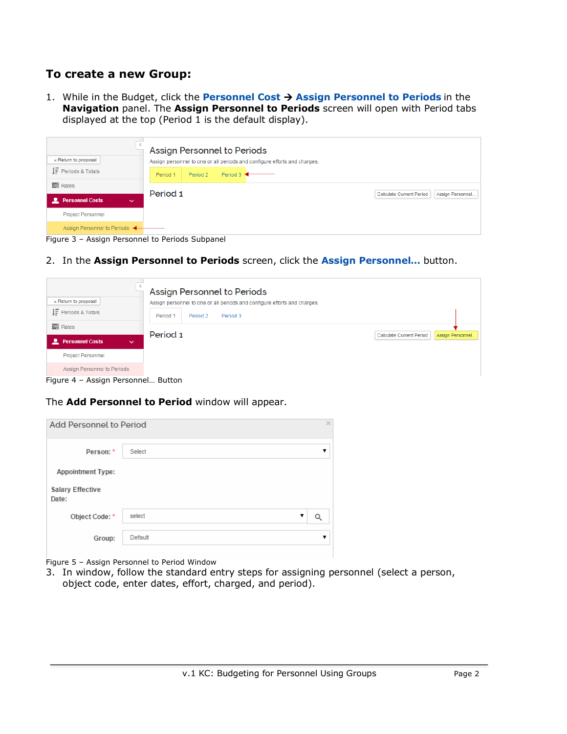## **To create a new Group:**

1. While in the Budget, click the **Personnel Cost** à **Assign Personnel to Periods** in the **Navigation** panel. The **Assign Personnel to Periods** screen will open with Period tabs displayed at the top (Period 1 is the default display).

| « Return to proposal                            |              | Assign Personnel to Periods<br>Assign personnel to one or all periods and configure efforts and charges. |          |                               |  |  |                          |                  |  |
|-------------------------------------------------|--------------|----------------------------------------------------------------------------------------------------------|----------|-------------------------------|--|--|--------------------------|------------------|--|
| $I\bar{F}$ Periods & Totals                     |              | Period 1                                                                                                 | Period 2 | Period $3 \blacktriangleleft$ |  |  |                          |                  |  |
| <b>言</b> Rates                                  |              | Period 1                                                                                                 |          |                               |  |  | Calculate Current Period | Assign Personnel |  |
| <b>Personnel Costs</b><br>≖                     | $\checkmark$ |                                                                                                          |          |                               |  |  |                          |                  |  |
| <b>Project Personnel</b>                        |              |                                                                                                          |          |                               |  |  |                          |                  |  |
| Assign Personnel to Periods                     |              |                                                                                                          |          |                               |  |  |                          |                  |  |
| Figure 3 - Assign Personnel to Periods Subpanel |              |                                                                                                          |          |                               |  |  |                          |                  |  |

2. In the **Assign Personnel to Periods** screen, click the **Assign Personnel…** button.

| « Return to proposal                        |                                                | Assign Personnel to Periods<br>Assign personnel to one or all periods and configure efforts and charges. |                                 |                  |
|---------------------------------------------|------------------------------------------------|----------------------------------------------------------------------------------------------------------|---------------------------------|------------------|
| $IF$ Periods & Totals                       | Period 1                                       | Period 2<br>Period 3                                                                                     |                                 |                  |
| <b>言</b> Rates                              | Period 1                                       |                                                                                                          | <b>Calculate Current Period</b> | Assign Personnel |
| <b>Personnel Costs</b><br>௨<br>$\checkmark$ |                                                |                                                                                                          |                                 |                  |
| <b>Project Personnel</b>                    |                                                |                                                                                                          |                                 |                  |
| Assign Personnel to Periods                 | $\mathbf{D}$ and $\mathbf{L}$ and $\mathbf{L}$ |                                                                                                          |                                 |                  |

Figure 4 – Assign Personnel… Button

#### The **Add Personnel to Period** window will appear.

| Add Personnel to Period          |         |   |   |
|----------------------------------|---------|---|---|
| Person: *                        | Select  |   | ▼ |
| <b>Appointment Type:</b>         |         |   |   |
| <b>Salary Effective</b><br>Date: |         |   |   |
| Object Code: *                   | select  | v |   |
| Group:                           | Default |   | ▼ |

Figure 5 – Assign Personnel to Period Window

l

3. In window, follow the standard entry steps for assigning personnel (select a person, object code, enter dates, effort, charged, and period).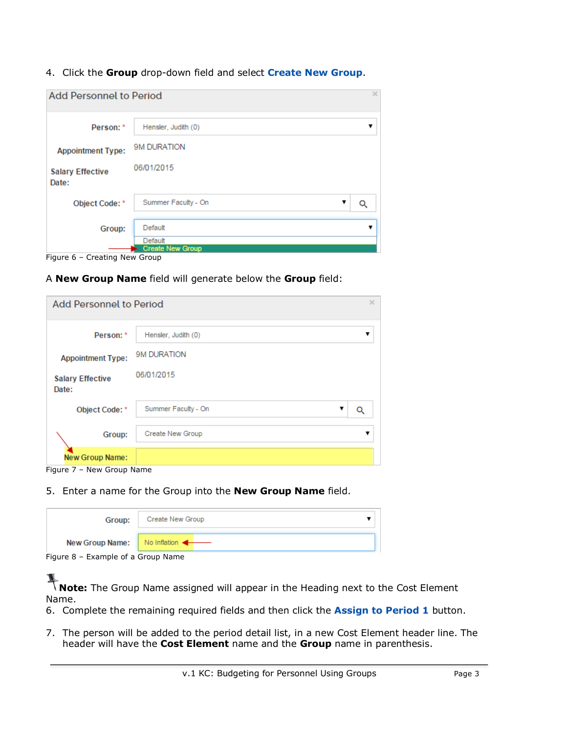4. Click the **Group** drop-down field and select **Create New Group**.

| x<br><b>Add Personnel to Period</b> |                           |   |  |  |  |  |  |  |
|-------------------------------------|---------------------------|---|--|--|--|--|--|--|
| Person: *                           | Hensler, Judith (0)       | v |  |  |  |  |  |  |
| <b>Appointment Type:</b>            | 9M DURATION<br>06/01/2015 |   |  |  |  |  |  |  |
| <b>Salary Effective</b><br>Date:    |                           |   |  |  |  |  |  |  |
| Object Code: *                      | Summer Faculty - On<br>▼  |   |  |  |  |  |  |  |
| Group:                              | Default<br>Default        |   |  |  |  |  |  |  |
|                                     | <b>Create New Group</b>   |   |  |  |  |  |  |  |

Figure 6 – Creating New Group

A **New Group Name** field will generate below the **Group** field:

| Add Personnel to Period<br>$\times$ |                          |  |  |  |  |  |  |  |
|-------------------------------------|--------------------------|--|--|--|--|--|--|--|
| Person: *                           | Hensler, Judith (0)      |  |  |  |  |  |  |  |
| <b>Appointment Type:</b>            | 9M DURATION              |  |  |  |  |  |  |  |
| <b>Salary Effective</b><br>Date:    | 06/01/2015               |  |  |  |  |  |  |  |
| Object Code: *                      | Summer Faculty - On<br>v |  |  |  |  |  |  |  |
| Group:                              | Create New Group         |  |  |  |  |  |  |  |
| <b>New Group Name:</b>              |                          |  |  |  |  |  |  |  |

l

5. Enter a name for the Group into the **New Group Name** field.

| Group:                             | Create New Group |  |  |  |  |  |
|------------------------------------|------------------|--|--|--|--|--|
| New Group Name: No Inflation       |                  |  |  |  |  |  |
| Figure 8 – Example of a Group Name |                  |  |  |  |  |  |

**Note:** The Group Name assigned will appear in the Heading next to the Cost Element Name.

- 6. Complete the remaining required fields and then click the **Assign to Period 1** button.
- 7. The person will be added to the period detail list, in a new Cost Element header line. The header will have the **Cost Element** name and the **Group** name in parenthesis.

Figure 7 – New Group Name